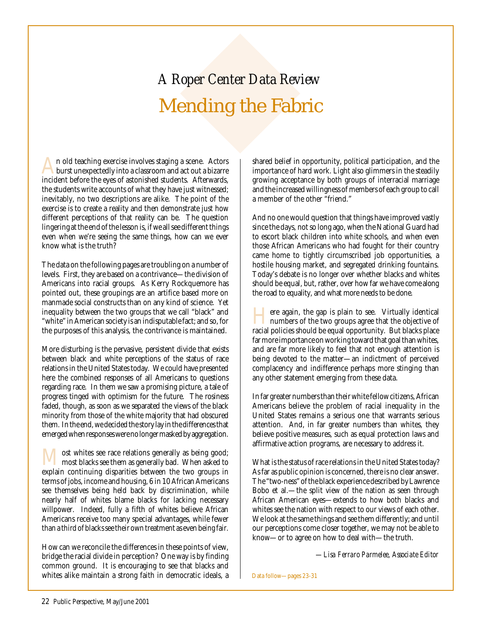# Mending the Fabric *A Roper Center Data Review*

An old teaching exercise involves staging a scene. Actors<br>burst unexpectedly into a classroom and act out a bizarre incident before the eyes of astonished students. Afterwards, the students write accounts of what they have just witnessed; inevitably, no two descriptions are alike. The point of the exercise is to create a reality and then demonstrate just how different perceptions of that reality can be. The question lingering at the end of the lesson is, if we all see different things even when we're seeing the same things, how can we ever know what is the truth?

The data on the following pages are troubling on a number of levels. First, they are based on a contrivance—the division of Americans into racial groups. As Kerry Rockquemore has pointed out, these groupings are an artifice based more on manmade social constructs than on any kind of science. Yet inequality between the two groups that we call "black" and "white" in American society is an indisputable fact; and so, for the purposes of this analysis, the contrivance is maintained.

More disturbing is the pervasive, persistent divide that exists between black and white perceptions of the status of race relations in the United States today. We could have presented here the combined responses of all Americans to questions regarding race. In them we saw a promising picture, a tale of progress tinged with optimism for the future. The rosiness faded, though, as soon as we separated the views of the black minority from those of the white majority that had obscured them. In the end, we decided the story lay in the differences that emerged when responses were no longer masked by aggregation.

**Most whites see race relations generally as being good;**<br>most blacks see them as generally bad. When asked to explain continuing disparities between the two groups in terms of jobs, income and housing, 6 in 10 African Americans see themselves being held back by discrimination, while nearly half of whites blame blacks for lacking necessary willpower. Indeed, fully a fifth of whites believe African Americans receive too many special advantages, while fewer than a third of blacks see their own treatment as even being fair.

How can we reconcile the differences in these points of view, bridge the racial divide in perception? One way is by finding common ground. It is encouraging to see that blacks and whites alike maintain a strong faith in democratic ideals, a shared belief in opportunity, political participation, and the importance of hard work. Light also glimmers in the steadily growing acceptance by both groups of interracial marriage and the increased willingness of members of each group to call a member of the other "friend."

And no one would question that things have improved vastly since the days, not so long ago, when the National Guard had to escort black children into white schools, and when even those African Americans who had fought for their country came home to tightly circumscribed job opportunities, a hostile housing market, and segregated drinking fountains. Today's debate is no longer over whether blacks and whites should be equal, but, rather, over how far we have come along the road to equality, and what more needs to be done.

There again, the gap is plain to see. Virtually identical<br>numbers of the two groups agree that the objective of racial policies should be equal opportunity. But blacks place far more importance on working toward that goal than whites, and are far more likely to feel that not enough attention is being devoted to the matter—an indictment of perceived complacency and indifference perhaps more stinging than any other statement emerging from these data.

In far greater numbers than their white fellow citizens, African Americans believe the problem of racial inequality in the United States remains a serious one that warrants serious attention. And, in far greater numbers than whites, they believe positive measures, such as equal protection laws and affirmative action programs, are necessary to address it.

What is the status of race relations in the United States today? As far as public opinion is concerned, there is no clear answer. The "two-ness" of the black experience described by Lawrence Bobo et al.—the split view of the nation as seen through African American eyes—extends to how both blacks and whites see the nation with respect to our views of each other. We look at the same things and see them differently; and until our perceptions come closer together, we may not be able to know—or to agree on how to deal with—the truth.

*—Lisa Ferraro Parmelee, Associate Editor*

Data follow—pages 23-31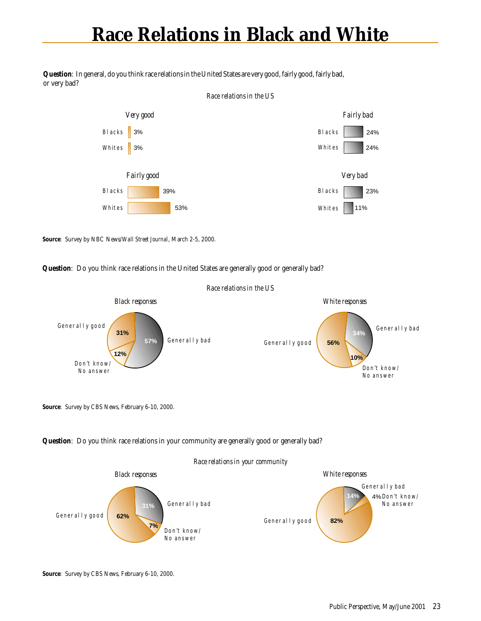### **Race Relations in Black and White**

**Question**: In general, do you think race relations in the United States are very good, fairly good, fairly bad, or very bad?



**Source**: Survey by NBC News/*Wall Street Journal*, March 2-5, 2000.

### **Question**: Do you think race relations in the United States are generally good or generally bad?



**Source**: Survey by CBS News, February 6-10, 2000.



#### *Race relations in your community*

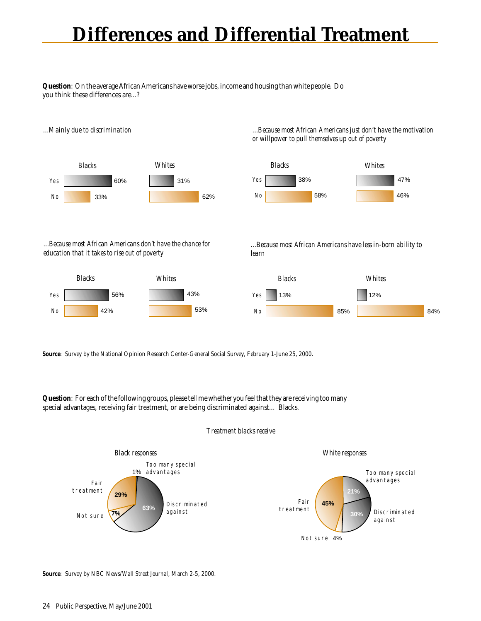## **Differences and Differential Treatment**

**Question**: On the average African Americans have worse jobs, income and housing than white people. Do you think these differences are...?



*...Because most African Americans don't have the chance for education that it takes to rise out of poverty*







*...Because most African Americans have less in-born ability to learn*



**Source**: Survey by the National Opinion Research Center-General Social Survey, February 1-June 25, 2000.

**Question**: For each of the following groups, please tell me whether you feel that they are receiving too many special advantages, receiving fair treatment, or are being discriminated against... Blacks.

#### *Treatment blacks receive*



**Source**: Survey by NBC News/*Wall Street Journal*, March 2-5, 2000.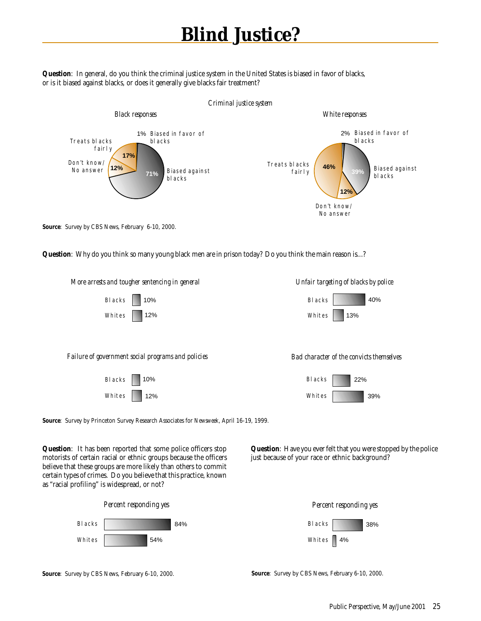## **Blind Justice?**

**Question**: In general, do you think the criminal justice system in the United States is biased in favor of blacks, or is it biased against blacks, or does it generally give blacks fair treatment?



**Source**: Survey by CBS News, February 6-10, 2000.

**Question**: Why do you think so many young black men are in prison today? Do you think the main reason is...?

Blacks Whites 10%

*Failure of government social programs and policies Bad character of the convicts themselves*

| <b>BLacks</b> | 10% |
|---------------|-----|
| Whites        | 12% |





**Source**: Survey by Princeton Survey Research Associates for *Newsweek*, April 16-19, 1999.

**Question**: It has been reported that some police officers stop motorists of certain racial or ethnic groups because the officers believe that these groups are more likely than others to commit certain types of crimes. Do you believe that this practice, known as "racial profiling" is widespread, or not?



**Source**: Survey by CBS News, February 6-10, 2000.

**Question**: Have you ever felt that you were stopped by the police just because of your race or ethnic background?



12% Unites 13%

*More arrests and tougher sentencing in general Unfair targeting of blacks by police*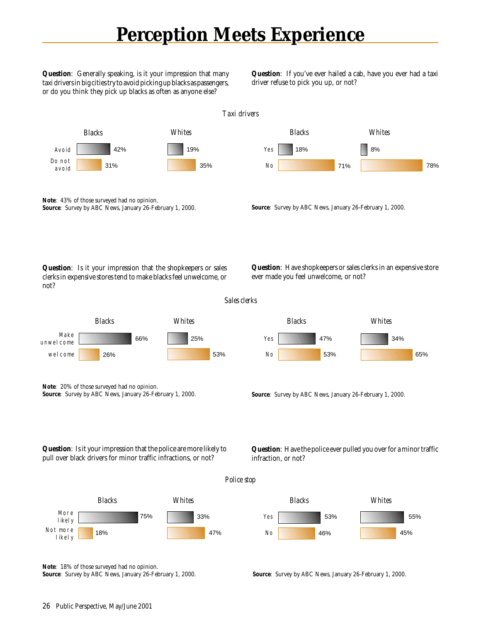### **Perception Meets Experience**

*Taxi drivers*

Yes

*Blacks*

18%

No

**Question**: Generally speaking, is it your impression that many taxi drivers in big cities try to avoid picking up blacks as passengers, or do you think they pick up blacks as often as anyone else?

**Question**: If you've ever hailed a cab, have you ever had a taxi driver refuse to pick you up, or not?

71%

*Whites*

78%

8%



**Note**:43% of those surveyed had no opinion. **Source**: Survey by ABC News, January 26-February 1, 2000.



**Question**: Is it your impression that the shopkeepers or sales clerks in expensive stores tend to make blacks feel unwelcome, or not?



**Question**: Have shopkeepers or sales clerks in an expensive store ever made you feel unwelcome, or not?



**Note**:20% of those surveyed had no opinion. **Source**: Survey by ABC News, January 26-February 1, 2000.

wel come





**Note**:18% of those surveyed had no opinion. **Source**: Survey by ABC News, January 26-February 1, 2000.

**Source**: Survey by ABC News, January 26-February 1, 2000.

**Question**: Have the police ever pulled you over for a minor traffic infraction, or not?

*Police stop*

53%



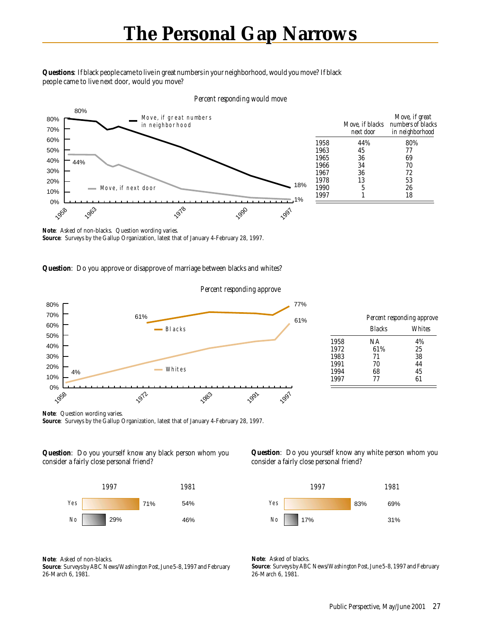#### **Questions**: If black people came to live in great numbers in your neighborhood, would you move? If black people came to live next door, would you move?



#### *Percent responding would move*

**Note**: Asked of non-blacks. Question wording varies. **Source**: Surveys by the Gallup Organization, latest that of January 4-February 28, 1997.

#### **Question**: Do you approve or disapprove of marriage between blacks and whites?



**Note**: Question wording varies. **Source**: Surveys by the Gallup Organization, latest that of January 4-February 28, 1997.

#### **Question**: Do you yourself know any black person whom you consider a fairly close personal friend?



**Note**: Asked of non-blacks.

**Source**: Surveys by ABC News/*Washington Post*, June 5-8, 1997 and February 26-March 6, 1981.

**Question**: Do you yourself know any white person whom you consider a fairly close personal friend?



**Note**: Asked of blacks. **Source**: Surveys by ABC News/*Washington Post*, June 5-8, 1997 and February 26-March 6, 1981.

*Move, if great numbers of blacks in neighborhood*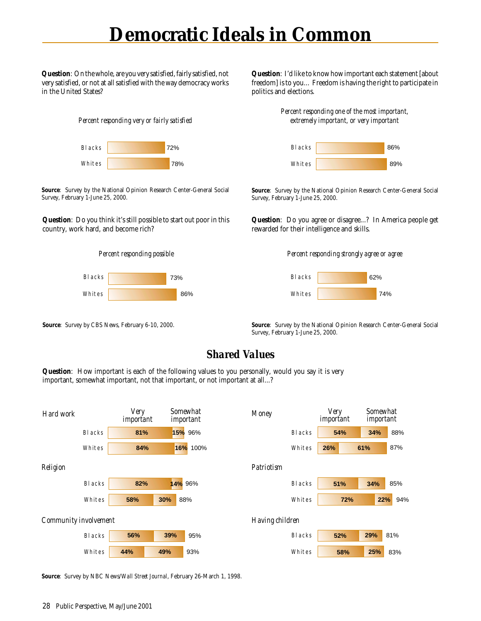### **Democratic Ideals in Common**

**Question**: On the whole, are you very satisfied, fairly satisfied, not very satisfied, or not at all satisfied with the way democracy works in the United States?

*Percent responding very or fairly satisfied*



**Source**: Survey by the National Opinion Research Center-General Social Survey, February 1-June 25, 2000.

**Question**: Do you think it's still possible to start out poor in this country, work hard, and become rich?





**Source**: Survey by CBS News, February 6-10, 2000.

**Question**: I'd like to know how important each statement [about freedom] is to you... Freedom is having the right to participate in politics and elections.

> *Percent responding one of the most important, extremely important, or very important*



**Source**: Survey by the National Opinion Research Center-General Social Survey, February 1-June 25, 2000.

**Question**: Do you agree or disagree...? In America people get rewarded for their intelligence and skills.

*Percent responding strongly agree or agree*



**Source**: Survey by the National Opinion Research Center-General Social Survey, February 1-June 25, 2000.

### *Shared Values*

**Question**: How important is each of the following values to you personally, would you say it is very important, somewhat important, not that important, or not important at all...?



**Source**: Survey by NBC News/*Wall Street Journal*, February 26-March 1, 1998.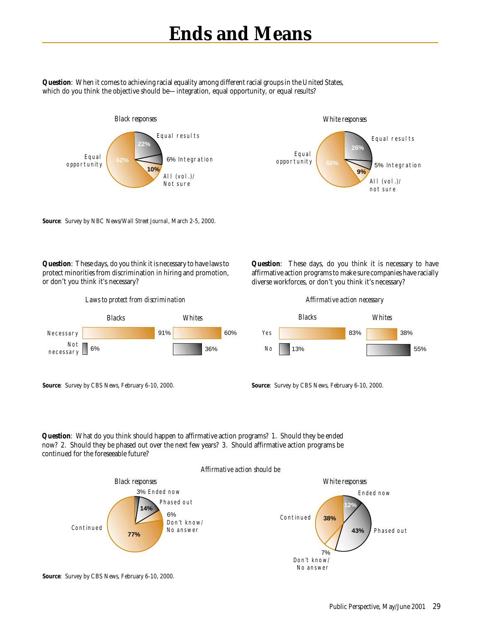### **Ends and Means**

**Question**: When it comes to achieving racial equality among different racial groups in the United States, which do you think the objective should be—integration, equal opportunity, or equal results?



**Source**: Survey by NBC News/*Wall Street Journal*, March 2-5, 2000.

**Question**: These days, do you think it is necessary to have laws to protect minorities from discrimination in hiring and promotion,



**Question**: These days, do you think it is necessary to have affirmative action programs to make sure companies have racially diverse workforces, or don't you think it's necessary?



**Source**: Survey by CBS News, February 6-10, 2000.

or don't you think it's necessary?



**Source**: Survey by CBS News, February 6-10, 2000.

**Question**: What do you think should happen to affirmative action programs? 1. Should they be ended now? 2. Should they be phased out over the next few years? 3. Should affirmative action programs be continued for the foreseeable future?





**Source**: Survey by CBS News, February 6-10, 2000.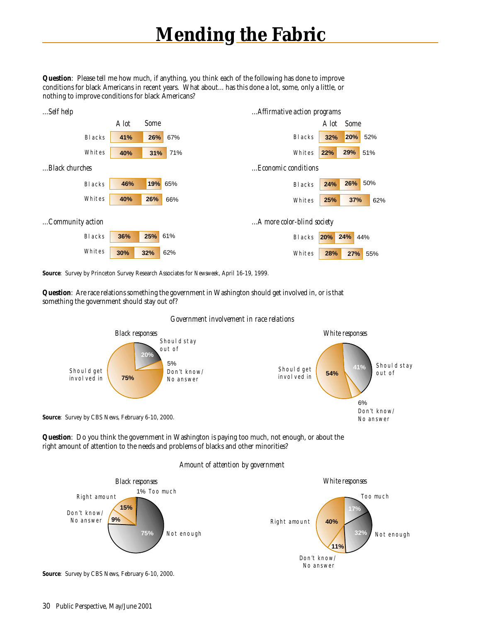## **Mending the Fabric**

**Question**: Please tell me how much, if anything, you think each of the following has done to improve conditions for black Americans in recent years. What about... has this done a lot, some, only a little, or nothing to improve conditions for black Americans?



**Source**: Survey by Princeton Survey Research Associates for *Newsweek*, April 16-19, 1999.

**Question**: Are race relations something the government in Washington should get involved in, or is that something the government should stay out of?

### *Government involvement in race relations*



**Question**: Do you think the government in Washington is paying too much, not enough, or about the right amount of attention to the needs and problems of blacks and other minorities?

#### *Amount of attention by government*